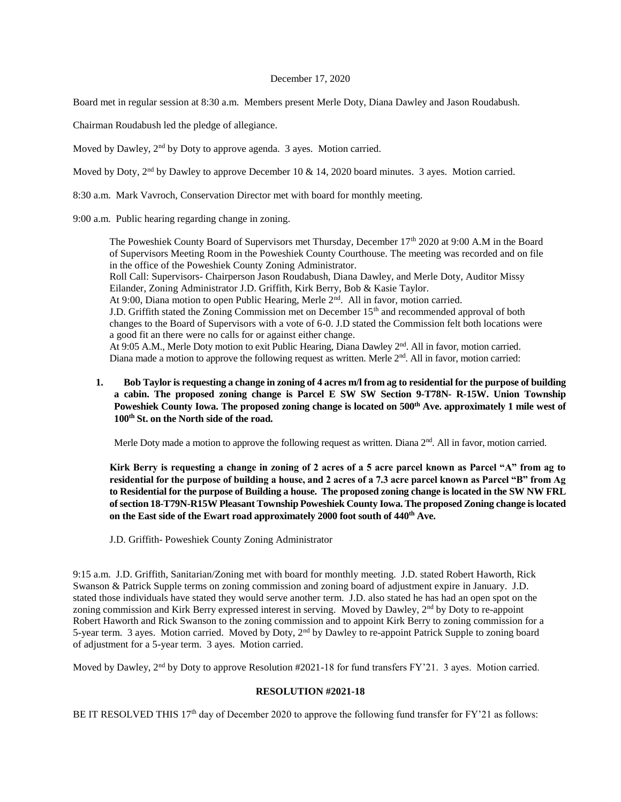## December 17, 2020

Board met in regular session at 8:30 a.m. Members present Merle Doty, Diana Dawley and Jason Roudabush.

Chairman Roudabush led the pledge of allegiance.

Moved by Dawley, 2<sup>nd</sup> by Doty to approve agenda. 3 ayes. Motion carried.

Moved by Doty, 2<sup>nd</sup> by Dawley to approve December 10 & 14, 2020 board minutes. 3 ayes. Motion carried.

8:30 a.m. Mark Vavroch, Conservation Director met with board for monthly meeting.

9:00 a.m. Public hearing regarding change in zoning.

The Poweshiek County Board of Supervisors met Thursday, December 17<sup>th</sup> 2020 at 9:00 A.M in the Board of Supervisors Meeting Room in the Poweshiek County Courthouse. The meeting was recorded and on file in the office of the Poweshiek County Zoning Administrator. Roll Call: Supervisors- Chairperson Jason Roudabush, Diana Dawley, and Merle Doty, Auditor Missy Eilander, Zoning Administrator J.D. Griffith, Kirk Berry, Bob & Kasie Taylor. At 9:00, Diana motion to open Public Hearing, Merle 2<sup>nd</sup>. All in favor, motion carried. J.D. Griffith stated the Zoning Commission met on December 15<sup>th</sup> and recommended approval of both changes to the Board of Supervisors with a vote of 6-0. J.D stated the Commission felt both locations were a good fit an there were no calls for or against either change. At 9:05 A.M., Merle Doty motion to exit Public Hearing, Diana Dawley 2nd. All in favor, motion carried. Diana made a motion to approve the following request as written. Merle  $2<sup>nd</sup>$ . All in favor, motion carried:

**1. Bob Taylor is requesting a change in zoning of 4 acres m/l from ag to residential for the purpose of building a cabin. The proposed zoning change is Parcel E SW SW Section 9-T78N- R-15W. Union Township Poweshiek County Iowa. The proposed zoning change is located on 500th Ave. approximately 1 mile west of 100th St. on the North side of the road.** 

Merle Doty made a motion to approve the following request as written. Diana  $2<sup>nd</sup>$ . All in favor, motion carried.

**Kirk Berry is requesting a change in zoning of 2 acres of a 5 acre parcel known as Parcel "A" from ag to residential for the purpose of building a house, and 2 acres of a 7.3 acre parcel known as Parcel "B" from Ag to Residential for the purpose of Building a house. The proposed zoning change is located in the SW NW FRL of section 18-T79N-R15W Pleasant Township Poweshiek County Iowa. The proposed Zoning change is located on the East side of the Ewart road approximately 2000 foot south of 440th Ave.** 

J.D. Griffith- Poweshiek County Zoning Administrator

9:15 a.m. J.D. Griffith, Sanitarian/Zoning met with board for monthly meeting. J.D. stated Robert Haworth, Rick Swanson & Patrick Supple terms on zoning commission and zoning board of adjustment expire in January. J.D. stated those individuals have stated they would serve another term. J.D. also stated he has had an open spot on the zoning commission and Kirk Berry expressed interest in serving. Moved by Dawley, 2<sup>nd</sup> by Doty to re-appoint Robert Haworth and Rick Swanson to the zoning commission and to appoint Kirk Berry to zoning commission for a 5-year term. 3 ayes. Motion carried. Moved by Doty, 2nd by Dawley to re-appoint Patrick Supple to zoning board of adjustment for a 5-year term. 3 ayes. Motion carried.

Moved by Dawley, 2<sup>nd</sup> by Doty to approve Resolution #2021-18 for fund transfers FY'21. 3 ayes. Motion carried.

## **RESOLUTION #2021-18**

BE IT RESOLVED THIS  $17<sup>th</sup>$  day of December 2020 to approve the following fund transfer for FY'21 as follows: